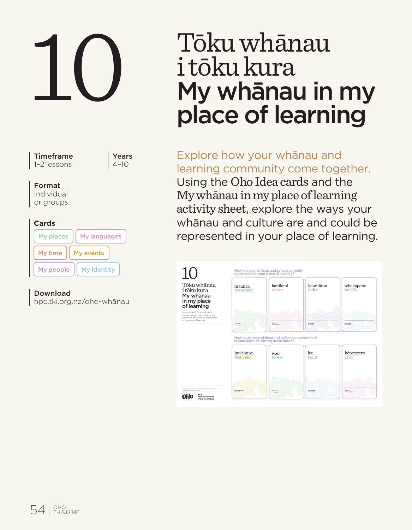

Years  $4 - 10$ 

#### Format

Individual or groups

|--|--|

| My places | My languages |
|-----------|--------------|
| My time   | My events    |
| My people | My identity  |

## Download

hpe.tki.org.nz/oho-whānau

# 10 Tōku whānau<br>
i tōku kura<br>
My whānau in<br>
place of learni i tōku kura My whānau in my place of learning

Explore how your whānau and learning community come together. Using the Oho Idea cards and the My whānau in my place of learning activity sheet, explore the ways your whānau and culture are and could be represented in your place of learning.

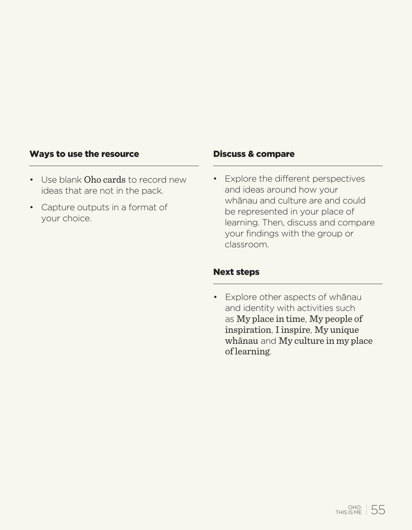#### Ways to use the resource

- Use blank Oho cards to record new ideas that are not in the pack.
- Capture outputs in a format of your choice.

#### Discuss & compare

• Explore the different perspectives and ideas around how your whānau and culture are and could be represented in your place of learning. Then, discuss and compare your findings with the group or classroom.

#### Next steps

• Explore other aspects of whānau and identity with activities such as My place in time, My people of inspiration, I inspire, My unique whānau and My culture in my place of learning.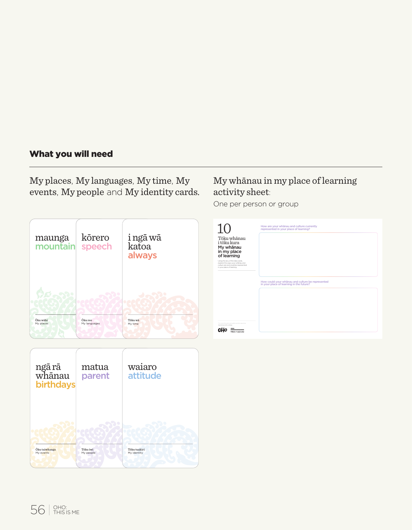# What you will need

My places, My languages, My time, My events, My people and My identity cards.





# My whānau in my place of learning activity sheet:

One per person or group

| 10                                                                                                                                         | How are your whanau and culture currently<br>represented in your place of learning?          |
|--------------------------------------------------------------------------------------------------------------------------------------------|----------------------------------------------------------------------------------------------|
| Töku whänau<br>i töku kura<br>My whanau<br>in my place<br>of learning                                                                      |                                                                                              |
| Using the any of the spea cards.<br>Indigenthe work your whitney and<br>pullure are and pauld be represented<br>in your place of learning. |                                                                                              |
|                                                                                                                                            | How could your whanau and culture be represented<br>in your place of learning in the future? |
|                                                                                                                                            |                                                                                              |
|                                                                                                                                            |                                                                                              |
| the material and which may only a services.<br><b>Martin and Art Art artistics</b><br><br><b>TERM IF ROOFER</b>                            |                                                                                              |